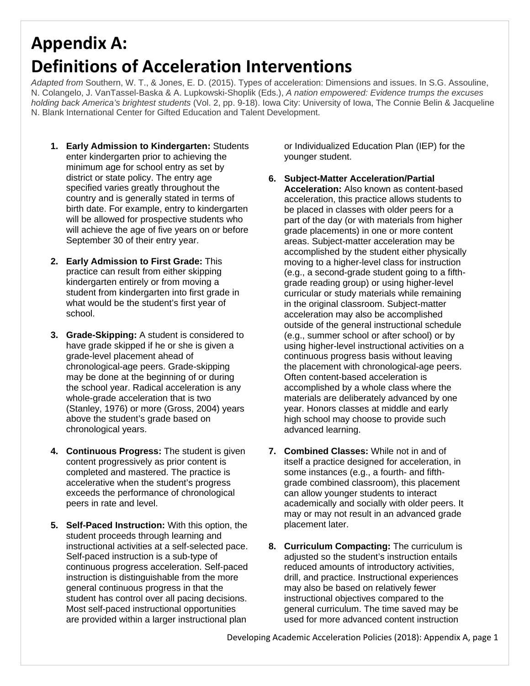## **Appendix A: Definitions of Acceleration Interventions**

*Adapted from* Southern, W. T., & Jones, E. D. (2015). Types of acceleration: Dimensions and issues. In S.G. Assouline, N. Colangelo, J. VanTassel-Baska & A. Lupkowski-Shoplik (Eds.), *A nation empowered: Evidence trumps the excuses holding back America's brightest students* (Vol. 2, pp. 9-18). Iowa City: University of Iowa, The Connie Belin & Jacqueline N. Blank International Center for Gifted Education and Talent Development.

- **1. Early Admission to Kindergarten:** Students enter kindergarten prior to achieving the minimum age for school entry as set by district or state policy. The entry age specified varies greatly throughout the country and is generally stated in terms of birth date. For example, entry to kindergarten will be allowed for prospective students who will achieve the age of five years on or before September 30 of their entry year.
- **2. Early Admission to First Grade:** This practice can result from either skipping kindergarten entirely or from moving a student from kindergarten into first grade in what would be the student's first year of school.
- **3. Grade-Skipping:** A student is considered to have grade skipped if he or she is given a grade-level placement ahead of chronological-age peers. Grade-skipping may be done at the beginning of or during the school year. Radical acceleration is any whole-grade acceleration that is two (Stanley, 1976) or more (Gross, 2004) years above the student's grade based on chronological years.
- **4. Continuous Progress:** The student is given content progressively as prior content is completed and mastered. The practice is accelerative when the student's progress exceeds the performance of chronological peers in rate and level.
- **5. Self-Paced Instruction:** With this option, the student proceeds through learning and instructional activities at a self-selected pace. Self-paced instruction is a sub-type of continuous progress acceleration. Self-paced instruction is distinguishable from the more general continuous progress in that the student has control over all pacing decisions. Most self-paced instructional opportunities are provided within a larger instructional plan

or Individualized Education Plan (IEP) for the younger student.

- **6. Subject-Matter Acceleration/Partial Acceleration:** Also known as content-based acceleration, this practice allows students to be placed in classes with older peers for a part of the day (or with materials from higher grade placements) in one or more content areas. Subject-matter acceleration may be accomplished by the student either physically moving to a higher-level class for instruction (e.g., a second-grade student going to a fifthgrade reading group) or using higher-level curricular or study materials while remaining in the original classroom. Subject-matter acceleration may also be accomplished outside of the general instructional schedule (e.g., summer school or after school) or by using higher-level instructional activities on a continuous progress basis without leaving the placement with chronological-age peers. Often content-based acceleration is accomplished by a whole class where the materials are deliberately advanced by one year. Honors classes at middle and early high school may choose to provide such advanced learning.
- **7. Combined Classes:** While not in and of itself a practice designed for acceleration, in some instances (e.g., a fourth- and fifthgrade combined classroom), this placement can allow younger students to interact academically and socially with older peers. It may or may not result in an advanced grade placement later.
- **8. Curriculum Compacting:** The curriculum is adjusted so the student's instruction entails reduced amounts of introductory activities, drill, and practice. Instructional experiences may also be based on relatively fewer instructional objectives compared to the general curriculum. The time saved may be used for more advanced content instruction

Developing Academic Acceleration Policies (2018): Appendix A, page 1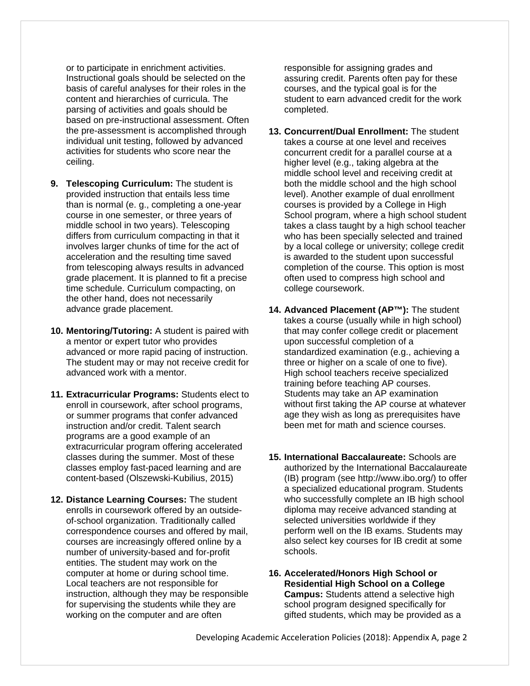or to participate in enrichment activities. Instructional goals should be selected on the basis of careful analyses for their roles in the content and hierarchies of curricula. The parsing of activities and goals should be based on pre-instructional assessment. Often the pre-assessment is accomplished through individual unit testing, followed by advanced activities for students who score near the ceiling.

- **9. Telescoping Curriculum:** The student is provided instruction that entails less time than is normal (e. g., completing a one-year course in one semester, or three years of middle school in two years). Telescoping differs from curriculum compacting in that it involves larger chunks of time for the act of acceleration and the resulting time saved from telescoping always results in advanced grade placement. It is planned to fit a precise time schedule. Curriculum compacting, on the other hand, does not necessarily advance grade placement.
- **10. Mentoring/Tutoring:** A student is paired with a mentor or expert tutor who provides advanced or more rapid pacing of instruction. The student may or may not receive credit for advanced work with a mentor.
- **11. Extracurricular Programs:** Students elect to enroll in coursework, after school programs, or summer programs that confer advanced instruction and/or credit. Talent search programs are a good example of an extracurricular program offering accelerated classes during the summer. Most of these classes employ fast-paced learning and are content-based (Olszewski-Kubilius, 2015)
- **12. Distance Learning Courses:** The student enrolls in coursework offered by an outsideof-school organization. Traditionally called correspondence courses and offered by mail, courses are increasingly offered online by a number of university-based and for-profit entities. The student may work on the computer at home or during school time. Local teachers are not responsible for instruction, although they may be responsible for supervising the students while they are working on the computer and are often

responsible for assigning grades and assuring credit. Parents often pay for these courses, and the typical goal is for the student to earn advanced credit for the work completed.

- **13. Concurrent/Dual Enrollment:** The student takes a course at one level and receives concurrent credit for a parallel course at a higher level (e.g., taking algebra at the middle school level and receiving credit at both the middle school and the high school level). Another example of dual enrollment courses is provided by a College in High School program, where a high school student takes a class taught by a high school teacher who has been specially selected and trained by a local college or university; college credit is awarded to the student upon successful completion of the course. This option is most often used to compress high school and college coursework.
- **14. Advanced Placement (AP™):** The student takes a course (usually while in high school) that may confer college credit or placement upon successful completion of a standardized examination (e.g., achieving a three or higher on a scale of one to five). High school teachers receive specialized training before teaching AP courses. Students may take an AP examination without first taking the AP course at whatever age they wish as long as prerequisites have been met for math and science courses.
- **15. International Baccalaureate:** Schools are authorized by the International Baccalaureate (IB) program (see http://www.ibo.org/) to offer a specialized educational program. Students who successfully complete an IB high school diploma may receive advanced standing at selected universities worldwide if they perform well on the IB exams. Students may also select key courses for IB credit at some schools.
- **16. Accelerated/Honors High School or Residential High School on a College Campus:** Students attend a selective high school program designed specifically for gifted students, which may be provided as a

Developing Academic Acceleration Policies (2018): Appendix A, page 2